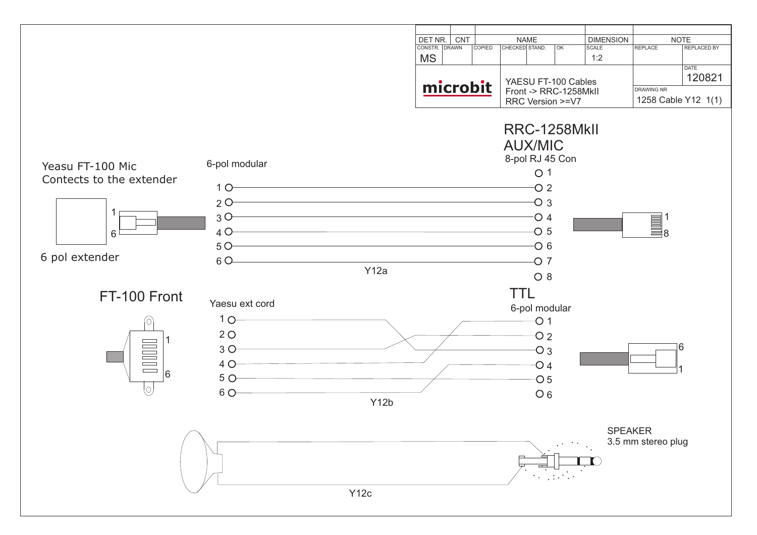